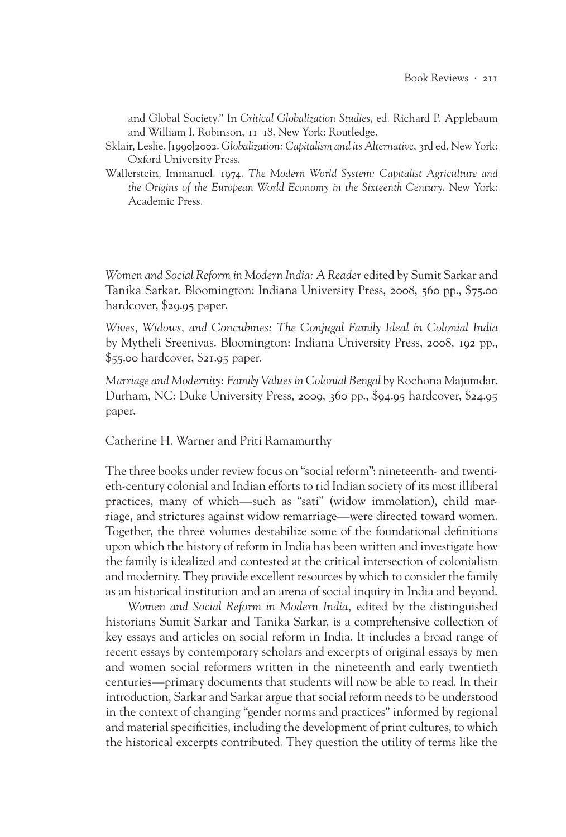and Global Society." In *Critical Globalization Studies*, ed. Richard P. Applebaum and William I. Robinson, 11–18. New York: Routledge.

- Sklair, Leslie. [1990]2002. *Globalization: Capitalism and its Alternative*, 3rd ed. New York: Oxford University Press.
- Wallerstein, Immanuel. 1974. *The Modern World System: Capitalist Agriculture and the Origins of the European World Economy in the Sixteenth Century*. New York: Academic Press.

*Women and Social Reform in Modern India: A Reader* edited by Sumit Sarkar and Tanika Sarkar. Bloomington: Indiana University Press, 2008, 560 pp., \$75.00 hardcover, \$29.95 paper.

*Wives, Widows, and Concubines: The Conjugal Family Ideal in Colonial India* by Mytheli Sreenivas. Bloomington: Indiana University Press, 2008, 192 pp., \$55.00 hardcover, \$21.95 paper.

*Marriage and Modernity: Family Values in Colonial Bengal* by Rochona Majumdar. Durham, NC: Duke University Press, 2009, 360 pp., \$94.95 hardcover, \$24.95 paper.

Catherine H. Warner and Priti Ramamurthy

The three books under review focus on "social reform": nineteenth- and twentieth-century colonial and Indian efforts to rid Indian society of its most illiberal practices, many of which—such as "sati" (widow immolation), child marriage, and strictures against widow remarriage—were directed toward women. Together, the three volumes destabilize some of the foundational definitions upon which the history of reform in India has been written and investigate how the family is idealized and contested at the critical intersection of colonialism and modernity. They provide excellent resources by which to consider the family as an historical institution and an arena of social inquiry in India and beyond.

*Women and Social Reform in Modern India,* edited by the distinguished historians Sumit Sarkar and Tanika Sarkar, is a comprehensive collection of key essays and articles on social reform in India. It includes a broad range of recent essays by contemporary scholars and excerpts of original essays by men and women social reformers written in the nineteenth and early twentieth centuries—primary documents that students will now be able to read. In their introduction, Sarkar and Sarkar argue that social reform needs to be understood in the context of changing "gender norms and practices" informed by regional and material specificities, including the development of print cultures, to which the historical excerpts contributed. They question the utility of terms like the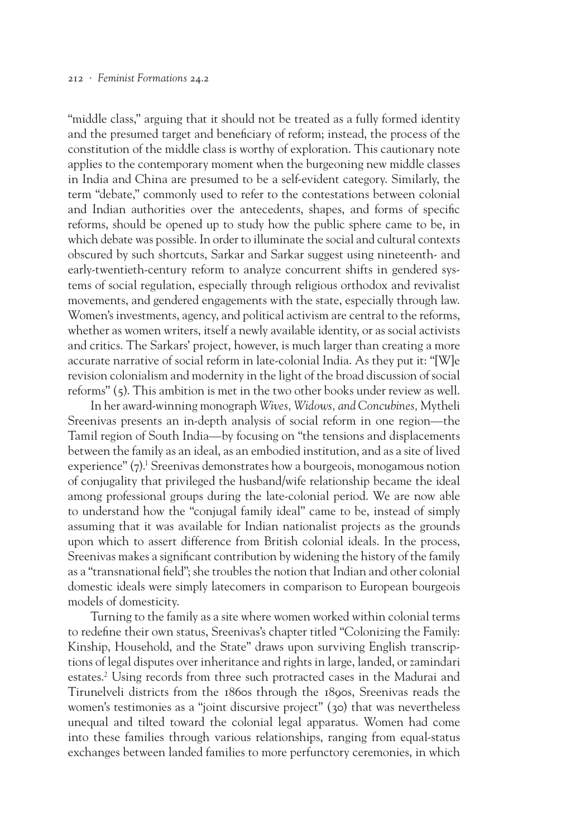## 212 · *Feminist Formations* 24.2

"middle class," arguing that it should not be treated as a fully formed identity and the presumed target and beneficiary of reform; instead, the process of the constitution of the middle class is worthy of exploration. This cautionary note applies to the contemporary moment when the burgeoning new middle classes in India and China are presumed to be a self-evident category. Similarly, the term "debate," commonly used to refer to the contestations between colonial and Indian authorities over the antecedents, shapes, and forms of specific reforms, should be opened up to study how the public sphere came to be, in which debate was possible. In order to illuminate the social and cultural contexts obscured by such shortcuts, Sarkar and Sarkar suggest using nineteenth- and early-twentieth-century reform to analyze concurrent shifts in gendered systems of social regulation, especially through religious orthodox and revivalist movements, and gendered engagements with the state, especially through law. Women's investments, agency, and political activism are central to the reforms, whether as women writers, itself a newly available identity, or as social activists and critics. The Sarkars' project, however, is much larger than creating a more accurate narrative of social reform in late-colonial India. As they put it: "[W]e revision colonialism and modernity in the light of the broad discussion of social reforms" (5). This ambition is met in the two other books under review as well.

In her award-winning monograph *Wives, Widows, and Concubines,* Mytheli Sreenivas presents an in-depth analysis of social reform in one region—the Tamil region of South India—by focusing on "the tensions and displacements between the family as an ideal, as an embodied institution, and as a site of lived experience" (7).<sup>1</sup> Sreenivas demonstrates how a bourgeois, monogamous notion of conjugality that privileged the husband/wife relationship became the ideal among professional groups during the late-colonial period. We are now able to understand how the "conjugal family ideal" came to be, instead of simply assuming that it was available for Indian nationalist projects as the grounds upon which to assert difference from British colonial ideals. In the process, Sreenivas makes a significant contribution by widening the history of the family as a "transnational field"; she troubles the notion that Indian and other colonial domestic ideals were simply latecomers in comparison to European bourgeois models of domesticity.

Turning to the family as a site where women worked within colonial terms to redefine their own status, Sreenivas's chapter titled "Colonizing the Family: Kinship, Household, and the State" draws upon surviving English transcriptions of legal disputes over inheritance and rights in large, landed, or zamindari estates.<sup>2</sup> Using records from three such protracted cases in the Madurai and Tirunelveli districts from the 1860s through the 1890s, Sreenivas reads the women's testimonies as a "joint discursive project" (30) that was nevertheless unequal and tilted toward the colonial legal apparatus. Women had come into these families through various relationships, ranging from equal-status exchanges between landed families to more perfunctory ceremonies, in which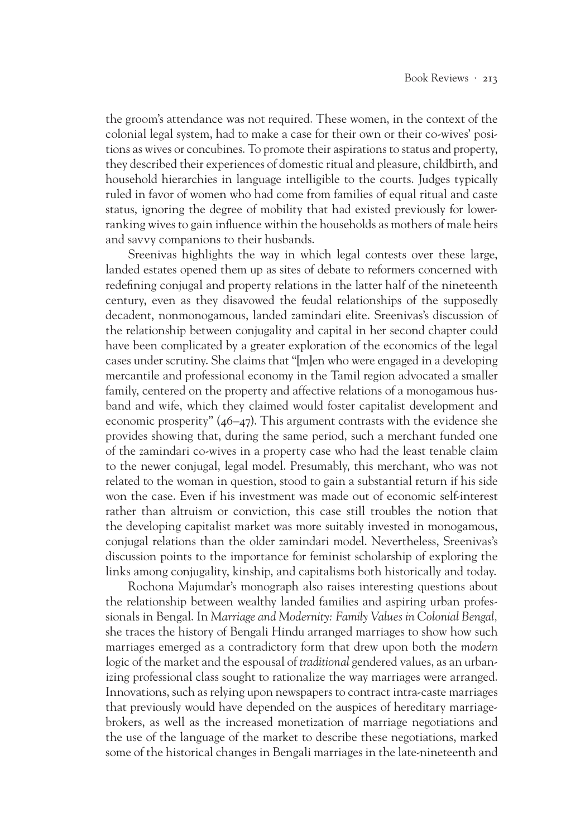the groom's attendance was not required. These women, in the context of the colonial legal system, had to make a case for their own or their co-wives' positions as wives or concubines. To promote their aspirations to status and property, they described their experiences of domestic ritual and pleasure, childbirth, and household hierarchies in language intelligible to the courts. Judges typically ruled in favor of women who had come from families of equal ritual and caste status, ignoring the degree of mobility that had existed previously for lowerranking wives to gain influence within the households as mothers of male heirs and savvy companions to their husbands.

Sreenivas highlights the way in which legal contests over these large, landed estates opened them up as sites of debate to reformers concerned with redefining conjugal and property relations in the latter half of the nineteenth century, even as they disavowed the feudal relationships of the supposedly decadent, nonmonogamous, landed zamindari elite. Sreenivas's discussion of the relationship between conjugality and capital in her second chapter could have been complicated by a greater exploration of the economics of the legal cases under scrutiny. She claims that "[m]en who were engaged in a developing mercantile and professional economy in the Tamil region advocated a smaller family, centered on the property and affective relations of a monogamous husband and wife, which they claimed would foster capitalist development and economic prosperity" (46–47). This argument contrasts with the evidence she provides showing that, during the same period, such a merchant funded one of the zamindari co-wives in a property case who had the least tenable claim to the newer conjugal, legal model. Presumably, this merchant, who was not related to the woman in question, stood to gain a substantial return if his side won the case. Even if his investment was made out of economic self-interest rather than altruism or conviction, this case still troubles the notion that the developing capitalist market was more suitably invested in monogamous, conjugal relations than the older zamindari model. Nevertheless, Sreenivas's discussion points to the importance for feminist scholarship of exploring the links among conjugality, kinship, and capitalisms both historically and today.

Rochona Majumdar's monograph also raises interesting questions about the relationship between wealthy landed families and aspiring urban professionals in Bengal. In *Marriage and Modernity: Family Values in Colonial Bengal,*  she traces the history of Bengali Hindu arranged marriages to show how such marriages emerged as a contradictory form that drew upon both the *modern* logic of the market and the espousal of *traditional* gendered values, as an urbanizing professional class sought to rationalize the way marriages were arranged. Innovations, such as relying upon newspapers to contract intra-caste marriages that previously would have depended on the auspices of hereditary marriagebrokers, as well as the increased monetization of marriage negotiations and the use of the language of the market to describe these negotiations, marked some of the historical changes in Bengali marriages in the late-nineteenth and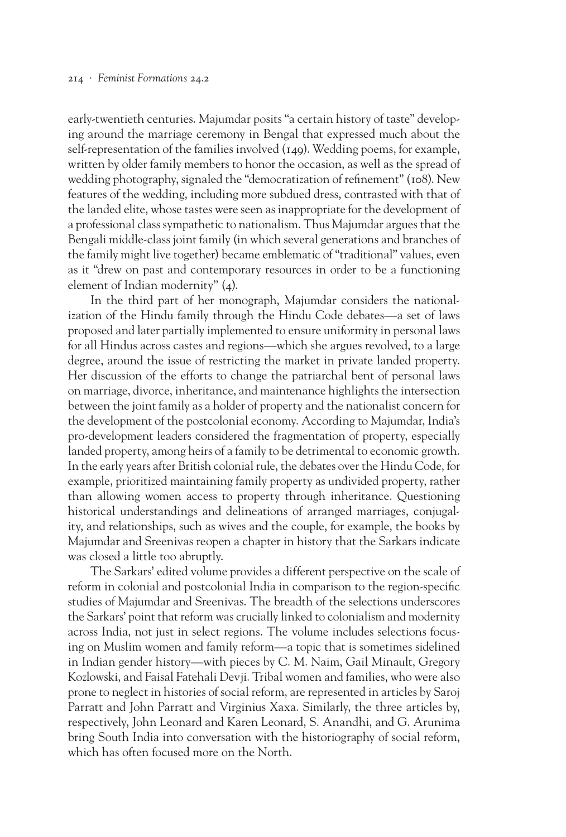early-twentieth centuries. Majumdar posits "a certain history of taste" developing around the marriage ceremony in Bengal that expressed much about the self-representation of the families involved (149). Wedding poems, for example, written by older family members to honor the occasion, as well as the spread of wedding photography, signaled the "democratization of refinement" (108). New features of the wedding, including more subdued dress, contrasted with that of the landed elite, whose tastes were seen as inappropriate for the development of a professional class sympathetic to nationalism. Thus Majumdar argues that the Bengali middle-class joint family (in which several generations and branches of the family might live together) became emblematic of "traditional" values, even as it "drew on past and contemporary resources in order to be a functioning element of Indian modernity" (4).

In the third part of her monograph, Majumdar considers the nationalization of the Hindu family through the Hindu Code debates—a set of laws proposed and later partially implemented to ensure uniformity in personal laws for all Hindus across castes and regions—which she argues revolved, to a large degree, around the issue of restricting the market in private landed property. Her discussion of the efforts to change the patriarchal bent of personal laws on marriage, divorce, inheritance, and maintenance highlights the intersection between the joint family as a holder of property and the nationalist concern for the development of the postcolonial economy. According to Majumdar, India's pro-development leaders considered the fragmentation of property, especially landed property, among heirs of a family to be detrimental to economic growth. In the early years after British colonial rule, the debates over the Hindu Code, for example, prioritized maintaining family property as undivided property, rather than allowing women access to property through inheritance. Questioning historical understandings and delineations of arranged marriages, conjugality, and relationships, such as wives and the couple, for example, the books by Majumdar and Sreenivas reopen a chapter in history that the Sarkars indicate was closed a little too abruptly.

The Sarkars' edited volume provides a different perspective on the scale of reform in colonial and postcolonial India in comparison to the region-specific studies of Majumdar and Sreenivas. The breadth of the selections underscores the Sarkars' point that reform was crucially linked to colonialism and modernity across India, not just in select regions. The volume includes selections focusing on Muslim women and family reform—a topic that is sometimes sidelined in Indian gender history—with pieces by C. M. Naim, Gail Minault, Gregory Kozlowski, and Faisal Fatehali Devji. Tribal women and families, who were also prone to neglect in histories of social reform, are represented in articles by Saroj Parratt and John Parratt and Virginius Xaxa. Similarly, the three articles by, respectively, John Leonard and Karen Leonard, S. Anandhi, and G. Arunima bring South India into conversation with the historiography of social reform, which has often focused more on the North.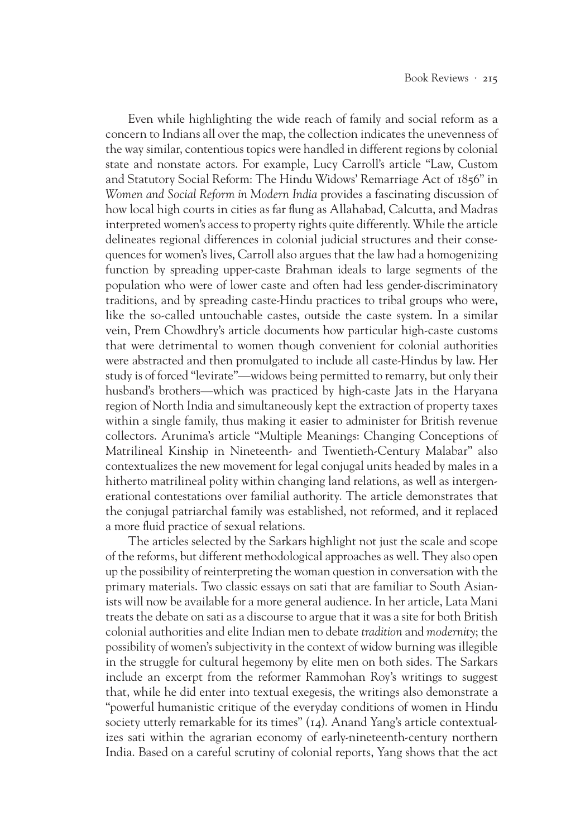Even while highlighting the wide reach of family and social reform as a concern to Indians all over the map, the collection indicates the unevenness of the way similar, contentious topics were handled in different regions by colonial state and nonstate actors. For example, Lucy Carroll's article "Law, Custom and Statutory Social Reform: The Hindu Widows' Remarriage Act of 1856" in *Women and Social Reform in Modern India* provides a fascinating discussion of how local high courts in cities as far flung as Allahabad, Calcutta, and Madras interpreted women's access to property rights quite differently. While the article delineates regional differences in colonial judicial structures and their consequences for women's lives, Carroll also argues that the law had a homogenizing function by spreading upper-caste Brahman ideals to large segments of the population who were of lower caste and often had less gender-discriminatory traditions, and by spreading caste-Hindu practices to tribal groups who were, like the so-called untouchable castes, outside the caste system. In a similar vein, Prem Chowdhry's article documents how particular high-caste customs that were detrimental to women though convenient for colonial authorities were abstracted and then promulgated to include all caste-Hindus by law. Her study is of forced "levirate"—widows being permitted to remarry, but only their husband's brothers—which was practiced by high-caste Jats in the Haryana region of North India and simultaneously kept the extraction of property taxes within a single family, thus making it easier to administer for British revenue collectors. Arunima's article "Multiple Meanings: Changing Conceptions of Matrilineal Kinship in Nineteenth- and Twentieth-Century Malabar" also contextualizes the new movement for legal conjugal units headed by males in a hitherto matrilineal polity within changing land relations, as well as intergenerational contestations over familial authority. The article demonstrates that the conjugal patriarchal family was established, not reformed, and it replaced a more fluid practice of sexual relations.

The articles selected by the Sarkars highlight not just the scale and scope of the reforms, but different methodological approaches as well. They also open up the possibility of reinterpreting the woman question in conversation with the primary materials. Two classic essays on sati that are familiar to South Asianists will now be available for a more general audience. In her article, Lata Mani treats the debate on sati as a discourse to argue that it was a site for both British colonial authorities and elite Indian men to debate *tradition* and *modernity*; the possibility of women's subjectivity in the context of widow burning was illegible in the struggle for cultural hegemony by elite men on both sides. The Sarkars include an excerpt from the reformer Rammohan Roy's writings to suggest that, while he did enter into textual exegesis, the writings also demonstrate a "powerful humanistic critique of the everyday conditions of women in Hindu society utterly remarkable for its times" (14). Anand Yang's article contextualizes sati within the agrarian economy of early-nineteenth-century northern India. Based on a careful scrutiny of colonial reports, Yang shows that the act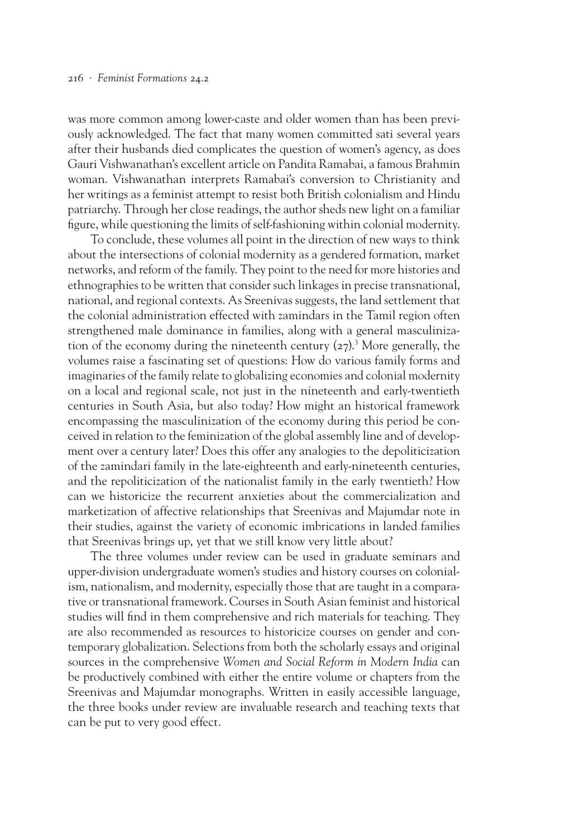was more common among lower-caste and older women than has been previously acknowledged. The fact that many women committed sati several years after their husbands died complicates the question of women's agency, as does Gauri Vishwanathan's excellent article on Pandita Ramabai, a famous Brahmin woman. Vishwanathan interprets Ramabai's conversion to Christianity and her writings as a feminist attempt to resist both British colonialism and Hindu patriarchy. Through her close readings, the author sheds new light on a familiar figure, while questioning the limits of self-fashioning within colonial modernity.

To conclude, these volumes all point in the direction of new ways to think about the intersections of colonial modernity as a gendered formation, market networks, and reform of the family. They point to the need for more histories and ethnographies to be written that consider such linkages in precise transnational, national, and regional contexts. As Sreenivas suggests, the land settlement that the colonial administration effected with zamindars in the Tamil region often strengthened male dominance in families, along with a general masculinization of the economy during the nineteenth century  $(27)^3$  More generally, the volumes raise a fascinating set of questions: How do various family forms and imaginaries of the family relate to globalizing economies and colonial modernity on a local and regional scale, not just in the nineteenth and early-twentieth centuries in South Asia, but also today? How might an historical framework encompassing the masculinization of the economy during this period be conceived in relation to the feminization of the global assembly line and of development over a century later? Does this offer any analogies to the depoliticization of the zamindari family in the late-eighteenth and early-nineteenth centuries, and the repoliticization of the nationalist family in the early twentieth? How can we historicize the recurrent anxieties about the commercialization and marketization of affective relationships that Sreenivas and Majumdar note in their studies, against the variety of economic imbrications in landed families that Sreenivas brings up, yet that we still know very little about?

The three volumes under review can be used in graduate seminars and upper-division undergraduate women's studies and history courses on colonialism, nationalism, and modernity, especially those that are taught in a comparative or transnational framework. Courses in South Asian feminist and historical studies will find in them comprehensive and rich materials for teaching. They are also recommended as resources to historicize courses on gender and contemporary globalization. Selections from both the scholarly essays and original sources in the comprehensive *Women and Social Reform in Modern India* can be productively combined with either the entire volume or chapters from the Sreenivas and Majumdar monographs. Written in easily accessible language, the three books under review are invaluable research and teaching texts that can be put to very good effect.